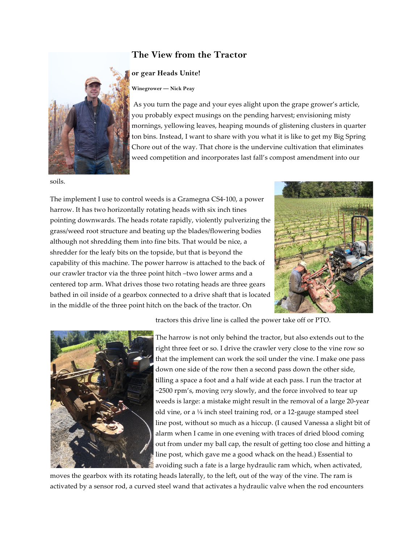## **The View from the Tractor**

## **or gear Heads Unite!**

**Winegrower — Nick Peay**

As you turn the page and your eyes alight upon the grape grower's article, you probably expect musings on the pending harvest; envisioning misty mornings, yellowing leaves, heaping mounds of glistening clusters in quarter ton bins. Instead, I want to share with you what it is like to get my Big Spring Chore out of the way. That chore is the undervine cultivation that eliminates weed competition and incorporates last fall's compost amendment into our

soils.

The implement I use to control weeds is a Gramegna CS4-100, a power harrow. It has two horizontally rotating heads with six inch tines pointing downwards. The heads rotate rapidly, violently pulverizing the grass/weed root structure and beating up the blades/flowering bodies although not shredding them into fine bits. That would be nice, a shredder for the leafy bits on the topside, but that is beyond the capability of this machine. The power harrow is attached to the back of our crawler tractor via the three point hitch –two lower arms and a centered top arm. What drives those two rotating heads are three gears bathed in oil inside of a gearbox connected to a drive shaft that is located in the middle of the three point hitch on the back of the tractor. On





tractors this drive line is called the power take off or PTO.

The harrow is not only behind the tractor, but also extends out to the right three feet or so. I drive the crawler very close to the vine row so that the implement can work the soil under the vine. I make one pass down one side of the row then a second pass down the other side, tilling a space a foot and a half wide at each pass. I run the tractor at ~2500 rpm's, moving *very* slowly, and the force involved to tear up weeds is large: a mistake might result in the removal of a large 20-year old vine, or a ¼ inch steel training rod, or a 12-gauge stamped steel line post, without so much as a hiccup. (I caused Vanessa a slight bit of alarm when I came in one evening with traces of dried blood coming out from under my ball cap, the result of getting too close and hitting a line post, which gave me a good whack on the head.) Essential to avoiding such a fate is a large hydraulic ram which, when activated,

moves the gearbox with its rotating heads laterally, to the left, out of the way of the vine. The ram is activated by a sensor rod, a curved steel wand that activates a hydraulic valve when the rod encounters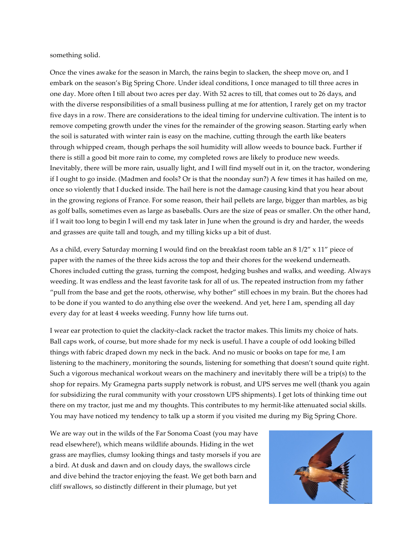something solid.

Once the vines awake for the season in March, the rains begin to slacken, the sheep move on, and I embark on the season's Big Spring Chore. Under ideal conditions, I once managed to till three acres in one day. More often I till about two acres per day. With 52 acres to till, that comes out to 26 days, and with the diverse responsibilities of a small business pulling at me for attention, I rarely get on my tractor five days in a row. There are considerations to the ideal timing for undervine cultivation. The intent is to remove competing growth under the vines for the remainder of the growing season. Starting early when the soil is saturated with winter rain is easy on the machine, cutting through the earth like beaters through whipped cream, though perhaps the soil humidity will allow weeds to bounce back. Further if there is still a good bit more rain to come, my completed rows are likely to produce new weeds. Inevitably, there will be more rain, usually light, and I will find myself out in it, on the tractor, wondering if I ought to go inside. (Madmen and fools? Or is that the noonday sun?) A few times it has hailed on me, once so violently that I ducked inside. The hail here is not the damage causing kind that you hear about in the growing regions of France. For some reason, their hail pellets are large, bigger than marbles, as big as golf balls, sometimes even as large as baseballs. Ours are the size of peas or smaller. On the other hand, if I wait too long to begin I will end my task later in June when the ground is dry and harder, the weeds and grasses are quite tall and tough, and my tilling kicks up a bit of dust.

As a child, every Saturday morning I would find on the breakfast room table an 8 1/2" x 11" piece of paper with the names of the three kids across the top and their chores for the weekend underneath. Chores included cutting the grass, turning the compost, hedging bushes and walks, and weeding. Always weeding. It was endless and the least favorite task for all of us. The repeated instruction from my father "pull from the base and get the roots, otherwise, why bother" still echoes in my brain. But the chores had to be done if you wanted to do anything else over the weekend. And yet, here I am, spending all day every day for at least 4 weeks weeding. Funny how life turns out.

I wear ear protection to quiet the clackity-clack racket the tractor makes. This limits my choice of hats. Ball caps work, of course, but more shade for my neck is useful. I have a couple of odd looking billed things with fabric draped down my neck in the back. And no music or books on tape for me, I am listening to the machinery, monitoring the sounds, listening for something that doesn't sound quite right. Such a vigorous mechanical workout wears on the machinery and inevitably there will be a trip(s) to the shop for repairs. My Gramegna parts supply network is robust, and UPS serves me well (thank you again for subsidizing the rural community with your crosstown UPS shipments). I get lots of thinking time out there on my tractor, just me and my thoughts. This contributes to my hermit-like attenuated social skills. You may have noticed my tendency to talk up a storm if you visited me during my Big Spring Chore.

We are way out in the wilds of the Far Sonoma Coast (you may have read elsewhere!), which means wildlife abounds. Hiding in the wet grass are mayflies, clumsy looking things and tasty morsels if you are a bird. At dusk and dawn and on cloudy days, the swallows circle and dive behind the tractor enjoying the feast. We get both barn and cliff swallows, so distinctly different in their plumage, but yet